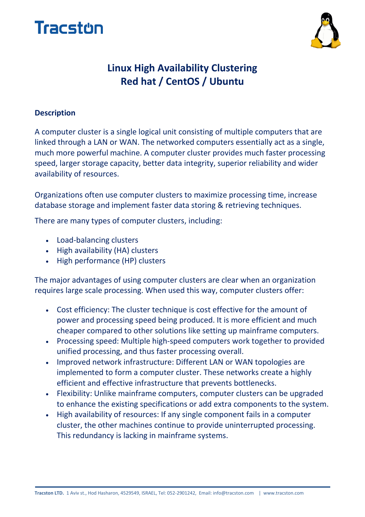



## **Linux High Availability Clustering Red hat / CentOS / Ubuntu**

#### **Description**

A computer cluster is a single logical unit consisting of multiple computers that are linked through a LAN or WAN. The networked computers essentially act as a single, much more powerful machine. A computer cluster provides much faster processing speed, larger storage capacity, better data integrity, superior reliability and wider availability of resources.

Organizations often use computer clusters to maximize processing time, increase database storage and implement faster data storing & retrieving techniques.

There are many types of computer clusters, including:

- Load-balancing clusters
- High availability (HA) clusters
- High performance (HP) clusters

The major advantages of using computer clusters are clear when an organization requires large scale processing. When used this way, computer clusters offer:

- Cost efficiency: The cluster technique is cost effective for the amount of power and processing speed being produced. It is more efficient and much cheaper compared to other solutions like setting up mainframe computers.
- Processing speed: Multiple high-speed computers work together to provided unified processing, and thus faster processing overall.
- Improved network infrastructure: Different LAN or WAN topologies are implemented to form a computer cluster. These networks create a highly efficient and effective infrastructure that prevents bottlenecks.
- Flexibility: Unlike mainframe computers, computer clusters can be upgraded to enhance the existing specifications or add extra components to the system.
- High availability of resources: If any single component fails in a computer cluster, the other machines continue to provide uninterrupted processing. This redundancy is lacking in mainframe systems.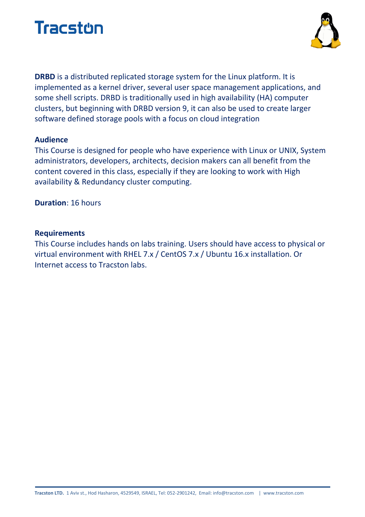



**DRBD** is a distributed replicated storage system for the Linux platform. It is implemented as a kernel driver, several user space management applications, and some shell scripts. DRBD is traditionally used in high availability (HA) computer clusters, but beginning with DRBD version 9, it can also be used to create larger software defined storage pools with a focus on cloud integration

#### **Audience**

This Course is designed for people who have experience with Linux or UNIX, System administrators, developers, architects, decision makers can all benefit from the content covered in this class, especially if they are looking to work with High availability & Redundancy cluster computing.

**Duration**: 16 hours

#### **Requirements**

This Course includes hands on labs training. Users should have access to physical or virtual environment with RHEL 7.x / CentOS 7.x / Ubuntu 16.x installation. Or Internet access to Tracston labs.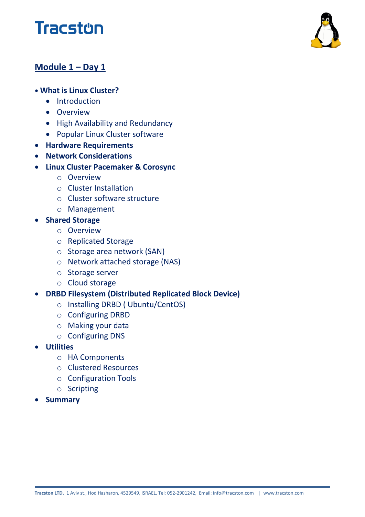# **Tracston**



### **Module 1 – Day 1**

#### **• What is Linux Cluster?**

- Introduction
- **•** Overview
- High Availability and Redundancy
- Popular Linux Cluster software
- **Hardware Requirements**
- **Network Considerations**
- **Linux Cluster Pacemaker & Corosync**
	- o Overview
	- o Cluster Installation
	- o Cluster software structure
	- o Management
- **•** Shared Storage
	- o Overview
	- o Replicated Storage
	- o Storage area network (SAN)
	- o Network attached storage (NAS)
	- o Storage server
	- o Cloud storage
- **DRBD Filesystem (Distributed Replicated Block Device)**
	- o Installing DRBD ( Ubuntu/CentOS)
	- o Configuring DRBD
	- o Making your data
	- o Configuring DNS
- **Utilities**
	- o HA Components
	- o Clustered Resources
	- o Configuration Tools
	- o Scripting
- **Summary**